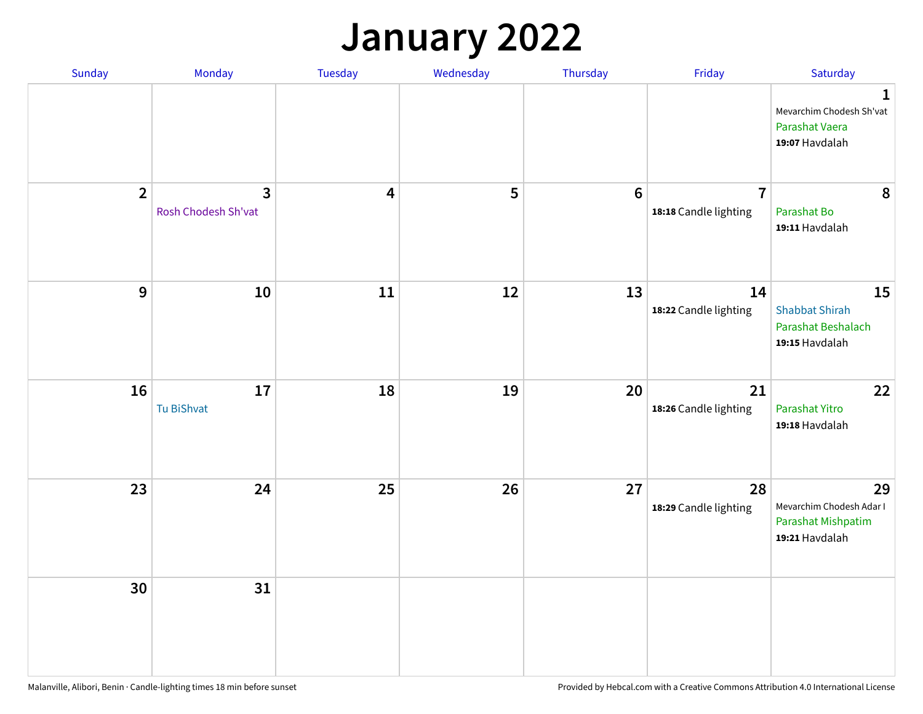## **January 2022**

| Sunday         | Monday                                         | Tuesday                 | Wednesday | Thursday         | Friday                                  | Saturday                                                                     |
|----------------|------------------------------------------------|-------------------------|-----------|------------------|-----------------------------------------|------------------------------------------------------------------------------|
|                |                                                |                         |           |                  |                                         | $\mathbf{1}$<br>Mevarchim Chodesh Sh'vat<br>Parashat Vaera<br>19:07 Havdalah |
| $\overline{2}$ | $\overline{\mathbf{3}}$<br>Rosh Chodesh Sh'vat | $\overline{\mathbf{4}}$ | 5         | $\boldsymbol{6}$ | $\overline{7}$<br>18:18 Candle lighting | 8<br>Parashat Bo<br>19:11 Havdalah                                           |
| $\mathbf{9}$   | 10                                             | ${\bf 11}$              | 12        | 13               | 14<br>18:22 Candle lighting             | 15<br><b>Shabbat Shirah</b><br>Parashat Beshalach<br>19:15 Havdalah          |
| 16             | 17<br>Tu BiShvat                               | 18                      | 19        | 20               | 21<br>18:26 Candle lighting             | 22<br>Parashat Yitro<br>19:18 Havdalah                                       |
| 23             | 24                                             | 25                      | 26        | 27               | 28<br>18:29 Candle lighting             | 29<br>Mevarchim Chodesh Adar I<br>Parashat Mishpatim<br>19:21 Havdalah       |
| 30             | 31                                             |                         |           |                  |                                         |                                                                              |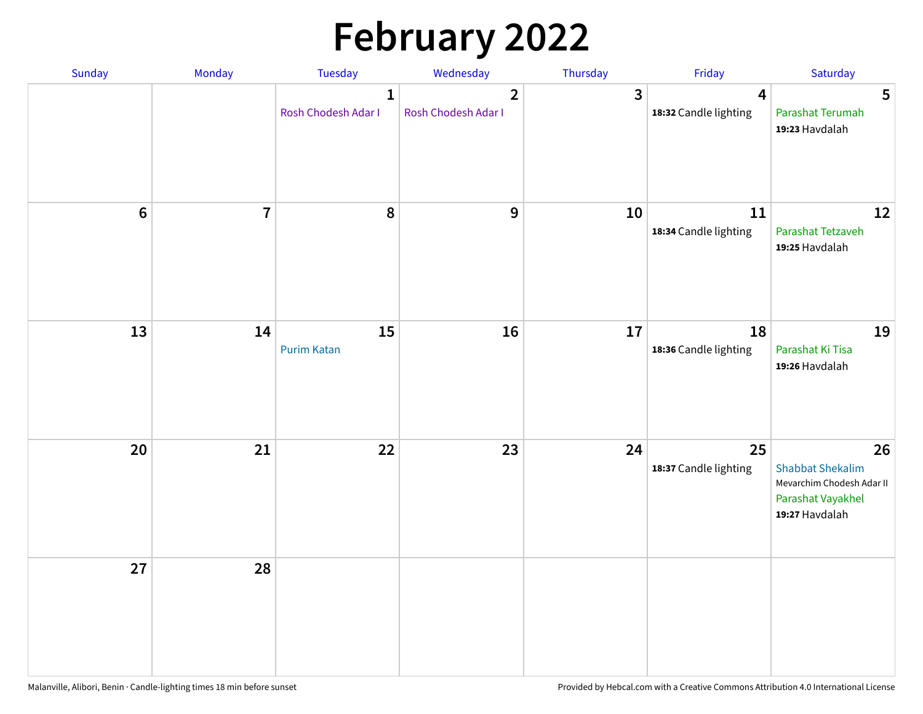# **February 2022**

| Sunday | Monday                  | <b>Tuesday</b>                      | Wednesday                             | Thursday | Friday                                           | Saturday                                                                                          |
|--------|-------------------------|-------------------------------------|---------------------------------------|----------|--------------------------------------------------|---------------------------------------------------------------------------------------------------|
|        |                         | $\mathbf{1}$<br>Rosh Chodesh Adar I | $\overline{2}$<br>Rosh Chodesh Adar I | 3        | $\overline{\mathbf{4}}$<br>18:32 Candle lighting | 5<br>Parashat Terumah<br>19:23 Havdalah                                                           |
| $6\,$  | $\overline{\mathbf{7}}$ | 8                                   | 9                                     | 10       | 11<br>18:34 Candle lighting                      | 12<br>Parashat Tetzaveh<br>19:25 Havdalah                                                         |
| 13     | 14                      | 15<br><b>Purim Katan</b>            | 16                                    | 17       | 18<br>18:36 Candle lighting                      | 19<br>Parashat Ki Tisa<br>19:26 Havdalah                                                          |
| 20     | 21                      | 22                                  | 23                                    | 24       | 25<br>18:37 Candle lighting                      | 26<br><b>Shabbat Shekalim</b><br>Mevarchim Chodesh Adar II<br>Parashat Vayakhel<br>19:27 Havdalah |
| 27     | 28                      |                                     |                                       |          |                                                  |                                                                                                   |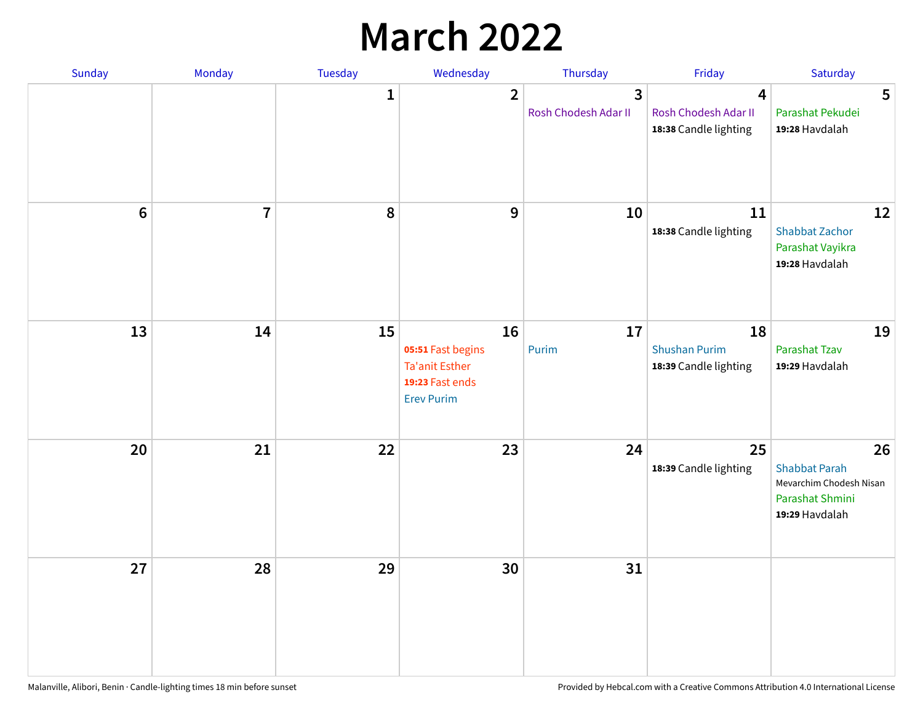## **March 2022**

| Sunday         | Monday         | Tuesday      | Wednesday                                                                         | Thursday                                        | Friday                                              | Saturday                                                                                   |
|----------------|----------------|--------------|-----------------------------------------------------------------------------------|-------------------------------------------------|-----------------------------------------------------|--------------------------------------------------------------------------------------------|
|                |                | $\mathbf{1}$ | $\overline{2}$                                                                    | $\overline{\mathbf{3}}$<br>Rosh Chodesh Adar II | 4<br>Rosh Chodesh Adar II<br>18:38 Candle lighting  | 5<br>Parashat Pekudei<br>19:28 Havdalah                                                    |
| $6\phantom{1}$ | $\overline{7}$ | 8            | $9$                                                                               | 10                                              | 11<br>18:38 Candle lighting                         | 12<br><b>Shabbat Zachor</b><br>Parashat Vayikra<br>19:28 Havdalah                          |
| 13             | 14             | 15           | 16<br>05:51 Fast begins<br>Ta'anit Esther<br>19:23 Fast ends<br><b>Erev Purim</b> | 17<br>Purim                                     | 18<br><b>Shushan Purim</b><br>18:39 Candle lighting | 19<br>Parashat Tzav<br>19:29 Havdalah                                                      |
| 20             | 21             | 22           | 23                                                                                | 24                                              | 25<br>18:39 Candle lighting                         | 26<br><b>Shabbat Parah</b><br>Mevarchim Chodesh Nisan<br>Parashat Shmini<br>19:29 Havdalah |
| 27             | 28             | 29           | 30                                                                                | 31                                              |                                                     |                                                                                            |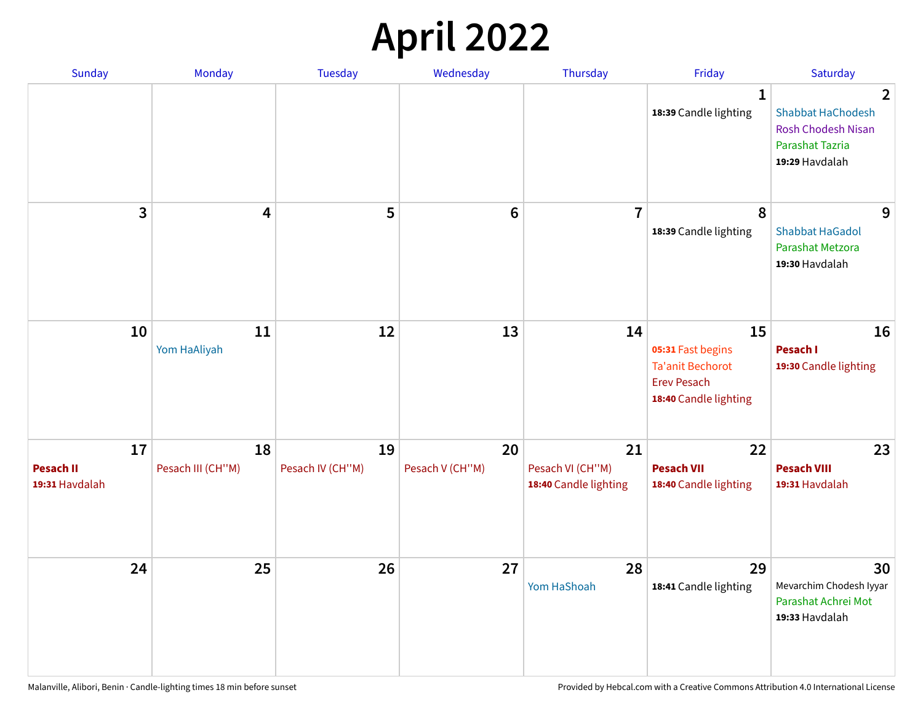## **April 2022**

| Sunday                                   | Monday                  | <b>Tuesday</b>         | Wednesday             | Thursday                                        | Friday                                                                                            | Saturday                                                                                                            |
|------------------------------------------|-------------------------|------------------------|-----------------------|-------------------------------------------------|---------------------------------------------------------------------------------------------------|---------------------------------------------------------------------------------------------------------------------|
|                                          |                         |                        |                       |                                                 | $\mathbf{1}$<br>18:39 Candle lighting                                                             | $\overline{2}$<br><b>Shabbat HaChodesh</b><br><b>Rosh Chodesh Nisan</b><br><b>Parashat Tazria</b><br>19:29 Havdalah |
| 3                                        | $\overline{\mathbf{4}}$ | 5                      | $6\phantom{1}6$       | $\overline{7}$                                  | 8<br>18:39 Candle lighting                                                                        | 9<br><b>Shabbat HaGadol</b><br>Parashat Metzora<br>19:30 Havdalah                                                   |
| 10                                       | 11<br>Yom HaAliyah      | 12                     | 13                    | 14                                              | 15<br>05:31 Fast begins<br><b>Ta'anit Bechorot</b><br><b>Erev Pesach</b><br>18:40 Candle lighting | 16<br>Pesach I<br>19:30 Candle lighting                                                                             |
| 17<br><b>Pesach II</b><br>19:31 Havdalah | 18<br>Pesach III (CH"M) | 19<br>Pesach IV (CH"M) | 20<br>Pesach V (CH"M) | 21<br>Pesach VI (CH"M)<br>18:40 Candle lighting | 22<br><b>Pesach VII</b><br>18:40 Candle lighting                                                  | 23<br><b>Pesach VIII</b><br>19:31 Havdalah                                                                          |
| 24                                       | 25                      | 26                     | 27                    | 28<br>Yom HaShoah                               | 29<br>18:41 Candle lighting                                                                       | 30<br>Mevarchim Chodesh Iyyar<br>Parashat Achrei Mot<br>19:33 Havdalah                                              |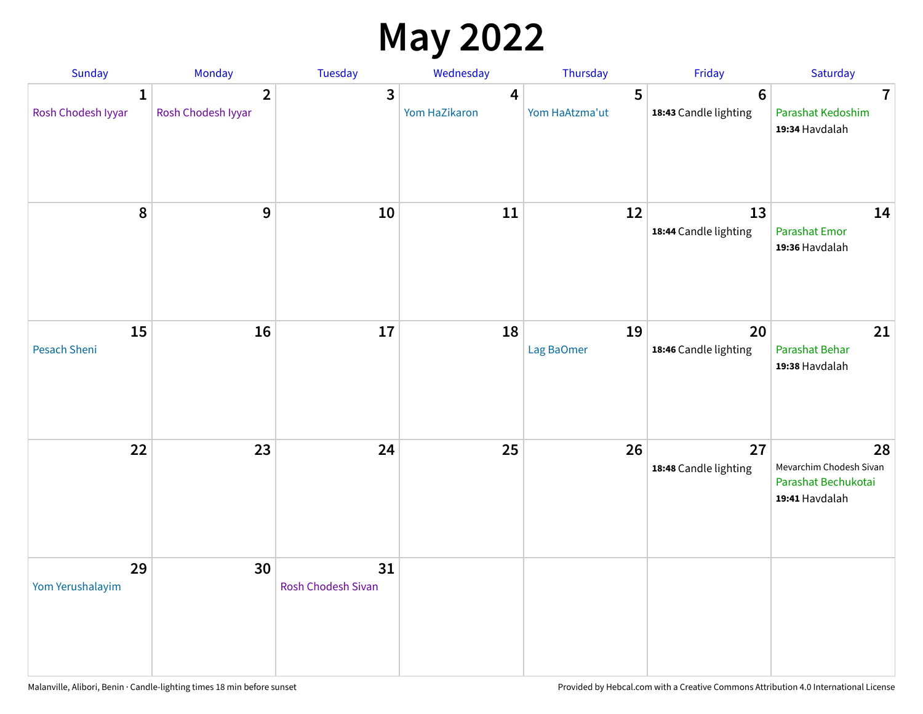## **May 2022**

| <b>Sunday</b>                      | Monday                               | Tuesday                         | Wednesday          | Thursday            | Friday                                   | Saturday                                                               |
|------------------------------------|--------------------------------------|---------------------------------|--------------------|---------------------|------------------------------------------|------------------------------------------------------------------------|
| $\mathbf{1}$<br>Rosh Chodesh Iyyar | $\overline{2}$<br>Rosh Chodesh Iyyar | 3                               | 4<br>Yom HaZikaron | 5<br>Yom HaAtzma'ut | $6\phantom{1}6$<br>18:43 Candle lighting | $\overline{7}$<br>Parashat Kedoshim<br>19:34 Havdalah                  |
| $\pmb{8}$                          | $\mathbf{9}$                         | 10                              | 11                 | 12                  | 13<br>18:44 Candle lighting              | 14<br><b>Parashat Emor</b><br>19:36 Havdalah                           |
| 15<br>Pesach Sheni                 | 16                                   | 17                              | 18                 | 19<br>Lag BaOmer    | 20<br>18:46 Candle lighting              | 21<br>Parashat Behar<br>19:38 Havdalah                                 |
| 22                                 | 23                                   | 24                              | 25                 | 26                  | 27<br>18:48 Candle lighting              | 28<br>Mevarchim Chodesh Sivan<br>Parashat Bechukotai<br>19:41 Havdalah |
| 29<br>Yom Yerushalayim             | 30                                   | 31<br><b>Rosh Chodesh Sivan</b> |                    |                     |                                          |                                                                        |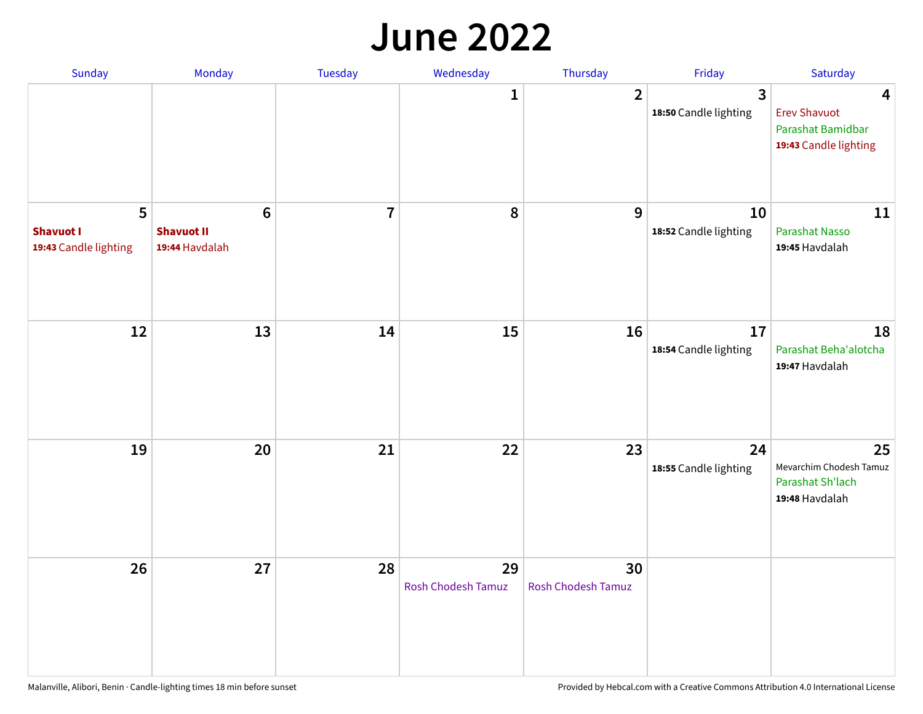#### **June 2022**

| Sunday                                         | Monday                                         | Tuesday        | Wednesday                       | Thursday                        | Friday                      | Saturday                                                                                     |
|------------------------------------------------|------------------------------------------------|----------------|---------------------------------|---------------------------------|-----------------------------|----------------------------------------------------------------------------------------------|
|                                                |                                                |                | 1                               | $\overline{2}$                  | 3<br>18:50 Candle lighting  | $\overline{\mathbf{4}}$<br><b>Erev Shavuot</b><br>Parashat Bamidbar<br>19:43 Candle lighting |
| 5<br><b>Shavuot I</b><br>19:43 Candle lighting | $\bf 6$<br><b>Shavuot II</b><br>19:44 Havdalah | $\overline{7}$ | 8                               | 9                               | 10<br>18:52 Candle lighting | 11<br>Parashat Nasso<br>19:45 Havdalah                                                       |
| 12                                             | 13                                             | 14             | 15                              | 16                              | 17<br>18:54 Candle lighting | 18<br>Parashat Beha'alotcha<br>19:47 Havdalah                                                |
| 19                                             | 20                                             | 21             | 22                              | 23                              | 24<br>18:55 Candle lighting | 25<br>Mevarchim Chodesh Tamuz<br>Parashat Sh'lach<br>19:48 Havdalah                          |
| 26                                             | 27                                             | 28             | 29<br><b>Rosh Chodesh Tamuz</b> | 30<br><b>Rosh Chodesh Tamuz</b> |                             |                                                                                              |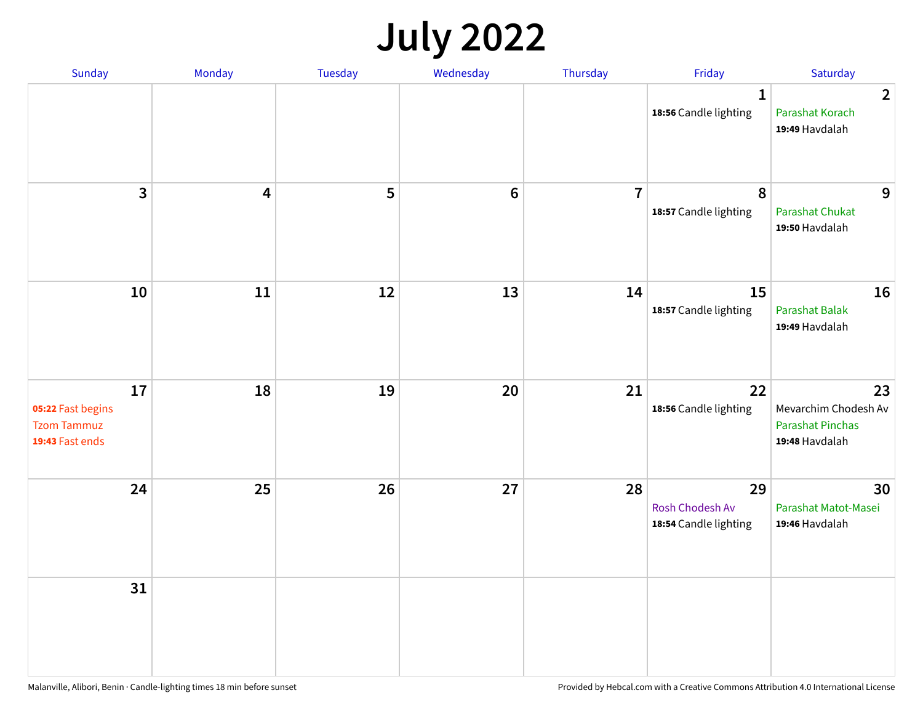## **July 2022**

| Sunday                                                           | Monday                  | Tuesday | Wednesday | Thursday       | Friday                                         | Saturday                                                                |
|------------------------------------------------------------------|-------------------------|---------|-----------|----------------|------------------------------------------------|-------------------------------------------------------------------------|
|                                                                  |                         |         |           |                | $\mathbf{1}$<br>18:56 Candle lighting          | $\overline{2}$<br>Parashat Korach<br>19:49 Havdalah                     |
| $\mathbf{3}$                                                     | $\overline{\mathbf{4}}$ | 5       | $\bf 6$   | $\overline{7}$ | 8<br>18:57 Candle lighting                     | 9<br>Parashat Chukat<br>19:50 Havdalah                                  |
| 10                                                               | 11                      | 12      | 13        | 14             | 15<br>18:57 Candle lighting                    | 16<br>Parashat Balak<br>19:49 Havdalah                                  |
| 17<br>05:22 Fast begins<br><b>Tzom Tammuz</b><br>19:43 Fast ends | 18                      | 19      | 20        | 21             | 22<br>18:56 Candle lighting                    | 23<br>Mevarchim Chodesh Av<br><b>Parashat Pinchas</b><br>19:48 Havdalah |
| 24                                                               | 25                      | 26      | 27        | 28             | 29<br>Rosh Chodesh Av<br>18:54 Candle lighting | 30<br>Parashat Matot-Masei<br>19:46 Havdalah                            |
| 31                                                               |                         |         |           |                |                                                |                                                                         |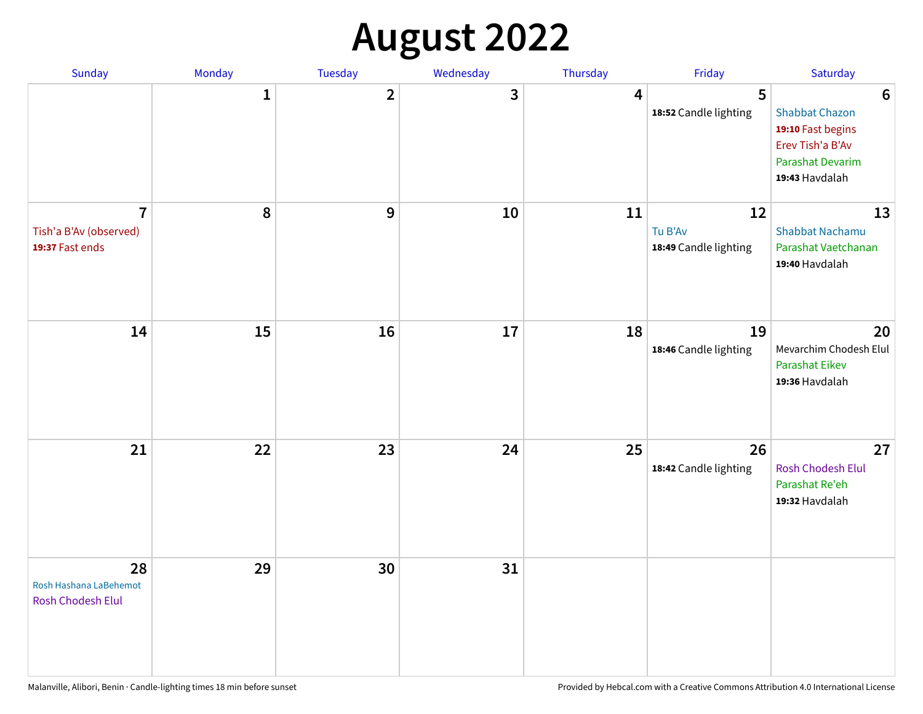## **August 2022**

| Sunday                                                      | Monday       | <b>Tuesday</b> | Wednesday | Thursday | Friday                                 | Saturday                                                                                                                       |
|-------------------------------------------------------------|--------------|----------------|-----------|----------|----------------------------------------|--------------------------------------------------------------------------------------------------------------------------------|
|                                                             | $\mathbf{1}$ | $\overline{2}$ | 3         | 4        | 5<br>18:52 Candle lighting             | $6\phantom{1}6$<br><b>Shabbat Chazon</b><br>19:10 Fast begins<br>Erev Tish'a B'Av<br><b>Parashat Devarim</b><br>19:43 Havdalah |
| $\overline{7}$<br>Tish'a B'Av (observed)<br>19:37 Fast ends | 8            | 9              | 10        | 11       | 12<br>Tu B'Av<br>18:49 Candle lighting | 13<br><b>Shabbat Nachamu</b><br>Parashat Vaetchanan<br>19:40 Havdalah                                                          |
| 14                                                          | 15           | 16             | 17        | 18       | 19<br>18:46 Candle lighting            | 20<br>Mevarchim Chodesh Elul<br><b>Parashat Eikev</b><br>19:36 Havdalah                                                        |
| 21                                                          | 22           | 23             | 24        | 25       | 26<br>18:42 Candle lighting            | 27<br><b>Rosh Chodesh Elul</b><br>Parashat Re'eh<br>19:32 Havdalah                                                             |
| 28<br>Rosh Hashana LaBehemot<br><b>Rosh Chodesh Elul</b>    | 29           | 30             | 31        |          |                                        |                                                                                                                                |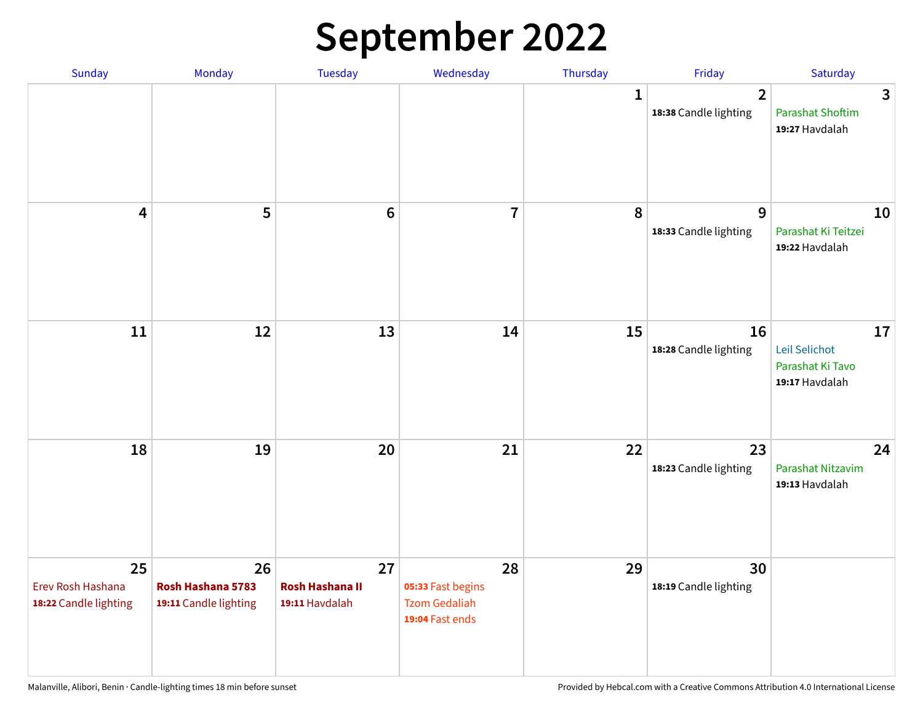## **September 2022**

| Sunday                                           | Monday                                           | Tuesday                                        | Wednesday                                                          | Thursday     | Friday                                  | Saturday                                                  |
|--------------------------------------------------|--------------------------------------------------|------------------------------------------------|--------------------------------------------------------------------|--------------|-----------------------------------------|-----------------------------------------------------------|
|                                                  |                                                  |                                                |                                                                    | $\mathbf{1}$ | $\overline{2}$<br>18:38 Candle lighting | 3<br><b>Parashat Shoftim</b><br>19:27 Havdalah            |
| $\overline{\mathbf{4}}$                          | 5                                                | $6\phantom{1}6$                                | $\overline{7}$                                                     | 8            | 9<br>18:33 Candle lighting              | 10<br>Parashat Ki Teitzei<br>19:22 Havdalah               |
| $11\,$                                           | 12                                               | 13                                             | 14                                                                 | 15           | 16<br>18:28 Candle lighting             | 17<br>Leil Selichot<br>Parashat Ki Tavo<br>19:17 Havdalah |
| 18                                               | 19                                               | 20                                             | 21                                                                 | 22           | 23<br>18:23 Candle lighting             | 24<br>Parashat Nitzavim<br>19:13 Havdalah                 |
| 25<br>Erev Rosh Hashana<br>18:22 Candle lighting | 26<br>Rosh Hashana 5783<br>19:11 Candle lighting | 27<br><b>Rosh Hashana II</b><br>19:11 Havdalah | 28<br>05:33 Fast begins<br><b>Tzom Gedaliah</b><br>19:04 Fast ends | 29           | 30<br>18:19 Candle lighting             |                                                           |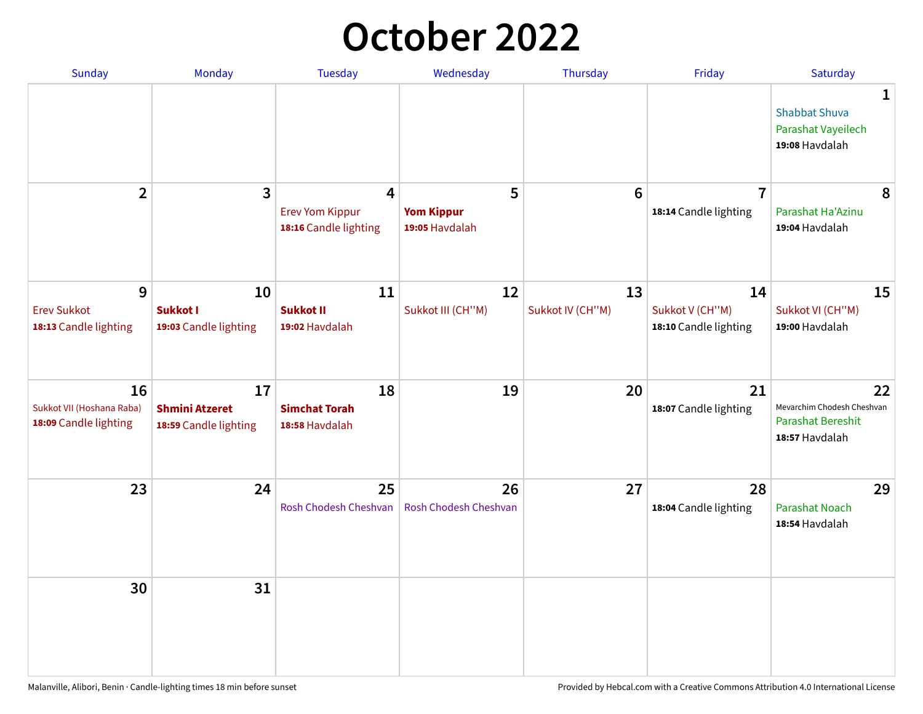## **October 2022**

| Sunday                                                   | <b>Monday</b>                                        | <b>Tuesday</b>                                                    | Wednesday                                | Thursday               | Friday                                         | Saturday                                                                |
|----------------------------------------------------------|------------------------------------------------------|-------------------------------------------------------------------|------------------------------------------|------------------------|------------------------------------------------|-------------------------------------------------------------------------|
|                                                          |                                                      |                                                                   |                                          |                        |                                                | 1<br><b>Shabbat Shuva</b><br>Parashat Vayeilech<br>19:08 Havdalah       |
| $\overline{2}$                                           | $\overline{\mathbf{3}}$                              | $\overline{4}$<br><b>Erev Yom Kippur</b><br>18:16 Candle lighting | 5<br><b>Yom Kippur</b><br>19:05 Havdalah | 6                      | $\overline{7}$<br>18:14 Candle lighting        | 8<br>Parashat Ha'Azinu<br>19:04 Havdalah                                |
| 9<br><b>Erev Sukkot</b><br>18:13 Candle lighting         | 10<br><b>Sukkot I</b><br>19:03 Candle lighting       | 11<br><b>Sukkot II</b><br>19:02 Havdalah                          | 12<br>Sukkot III (CH"M)                  | 13<br>Sukkot IV (CH"M) | 14<br>Sukkot V (CH"M)<br>18:10 Candle lighting | 15<br>Sukkot VI (CH"M)<br>19:00 Havdalah                                |
| 16<br>Sukkot VII (Hoshana Raba)<br>18:09 Candle lighting | 17<br><b>Shmini Atzeret</b><br>18:59 Candle lighting | 18<br><b>Simchat Torah</b><br>18:58 Havdalah                      | 19                                       | 20                     | 21<br>18:07 Candle lighting                    | 22<br>Mevarchim Chodesh Cheshvan<br>Parashat Bereshit<br>18:57 Havdalah |
| 23                                                       | 24                                                   | 25<br>Rosh Chodesh Cheshvan                                       | 26<br>Rosh Chodesh Cheshvan              | 27                     | 28<br>18:04 Candle lighting                    | 29<br><b>Parashat Noach</b><br>18:54 Havdalah                           |
| 30                                                       | 31                                                   |                                                                   |                                          |                        |                                                |                                                                         |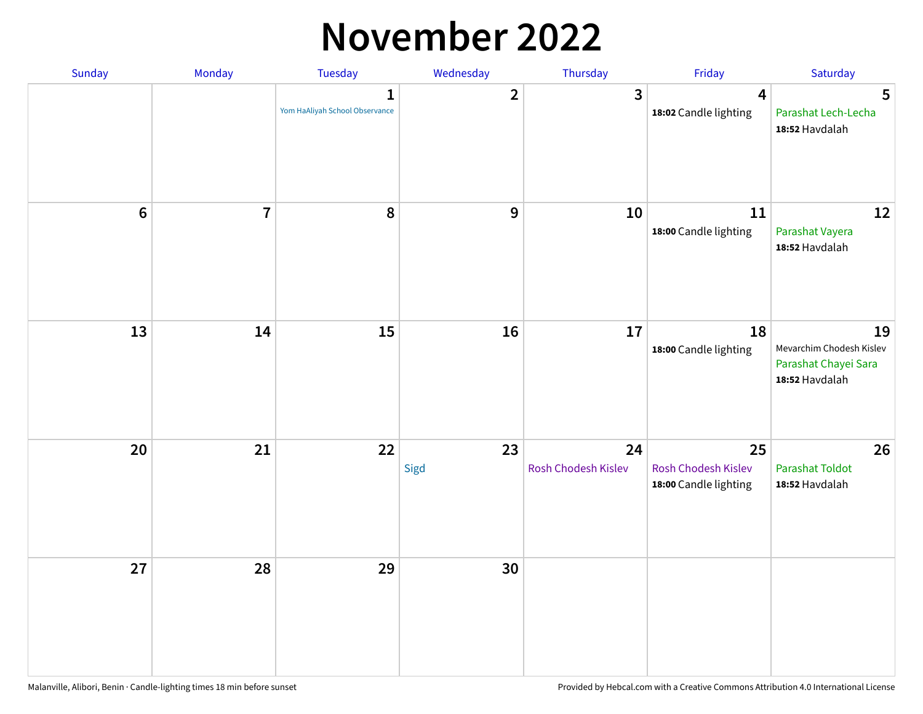#### **November 2022**

| Sunday         | Monday         | Tuesday                             | Wednesday               | Thursday                  | Friday                                             | Saturday                                                                 |
|----------------|----------------|-------------------------------------|-------------------------|---------------------------|----------------------------------------------------|--------------------------------------------------------------------------|
|                |                | 1<br>Yom HaAliyah School Observance | $\overline{\mathbf{2}}$ | $\mathbf{3}$              | $\overline{\mathbf{4}}$<br>18:02 Candle lighting   | 5<br>Parashat Lech-Lecha<br>18:52 Havdalah                               |
| $6\phantom{1}$ | $\overline{7}$ | 8                                   | $\boldsymbol{9}$        | 10                        | $11\,$<br>18:00 Candle lighting                    | 12<br>Parashat Vayera<br>18:52 Havdalah                                  |
| 13             | 14             | 15                                  | 16                      | 17                        | 18<br>18:00 Candle lighting                        | 19<br>Mevarchim Chodesh Kislev<br>Parashat Chayei Sara<br>18:52 Havdalah |
| 20             | 21             | 22                                  | 23<br>Sigd              | 24<br>Rosh Chodesh Kislev | 25<br>Rosh Chodesh Kislev<br>18:00 Candle lighting | 26<br><b>Parashat Toldot</b><br>18:52 Havdalah                           |
| 27             | 28             | 29                                  | 30                      |                           |                                                    |                                                                          |